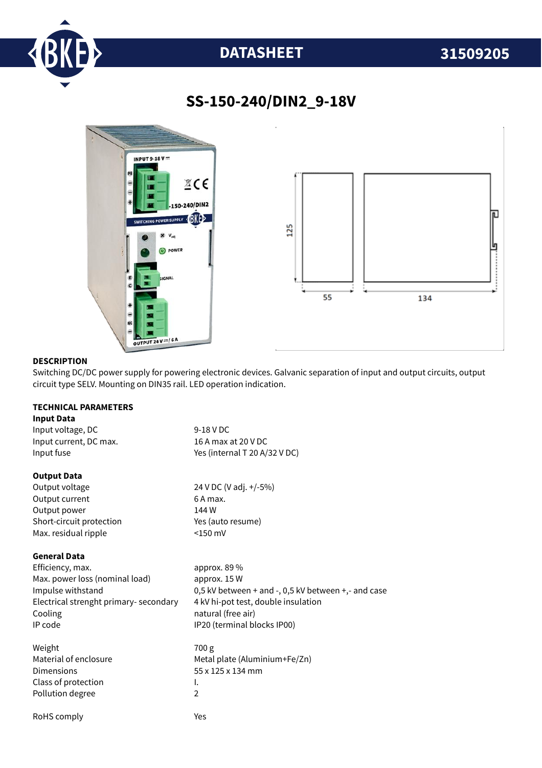

## **DATASHEET 31509205**

## **SS-150-240/DIN2\_9-18V**



#### **DESCRIPTION**

Switching DC/DC power supply for powering electronic devices. Galvanic separation of input and output circuits, output circuit type SELV. Mounting on DIN35 rail. LED operation indication.

### **TECHNICAL PARAMETERS**

### **Input Data**

| Input voltage, DC        | 9-18 V DC                     |  |
|--------------------------|-------------------------------|--|
| Input current, DC max.   | 16 A max at 20 V DC           |  |
| Input fuse               | Yes (internal T 20 A/32 V DC) |  |
| <b>Output Data</b>       |                               |  |
| Output voltage           | 24 V DC (V adj. +/-5%)        |  |
| Output current           | 6 A max.                      |  |
| Output power             | 144 W                         |  |
| Short-circuit protection | Yes (auto resume)             |  |
| Max. residual ripple     | $<$ 150 mV                    |  |

#### **General Data**

Efficiency, max. approx. 89 % Max. power loss (nominal load) approx. 15 W Electrical strenght primary- secondary 4 kV hi-pot test, double insulation Cooling **natural** (free air) IP code IP20 (terminal blocks IP00)

Weight 700 g Dimensions 55 x 125 x 134 mm Class of protection and I. Pollution degree 2

RoHS comply The Material Second Vest

Impulse withstand 0,5 kV between + and -, 0,5 kV between +,- and case

Material of enclosure Metal plate (Aluminium+Fe/Zn)